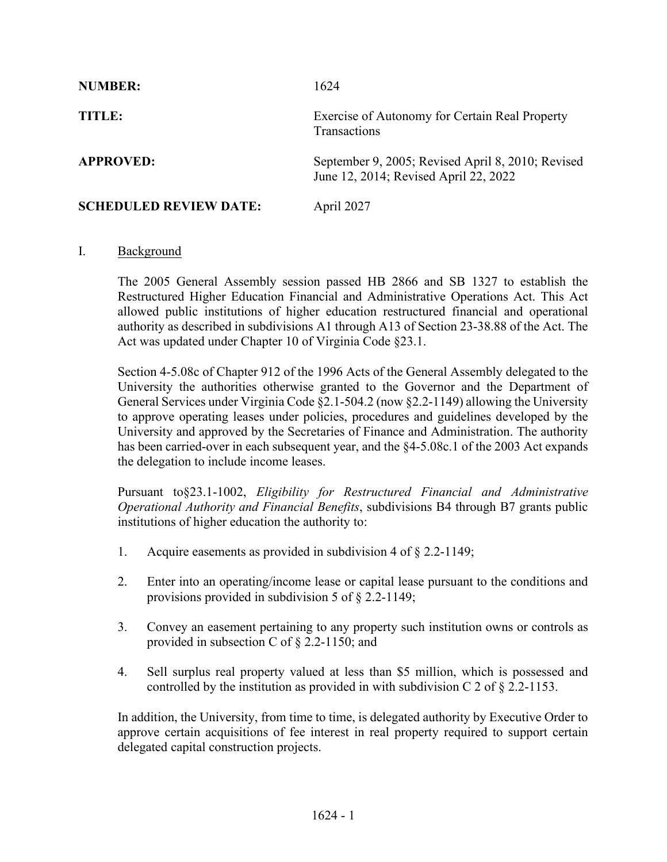| <b>NUMBER:</b>                | 1624                                                                                       |
|-------------------------------|--------------------------------------------------------------------------------------------|
| TITLE:                        | Exercise of Autonomy for Certain Real Property<br>Transactions                             |
| <b>APPROVED:</b>              | September 9, 2005; Revised April 8, 2010; Revised<br>June 12, 2014; Revised April 22, 2022 |
| <b>SCHEDULED REVIEW DATE:</b> | April 2027                                                                                 |

## I. Background

The 2005 General Assembly session passed HB 2866 and SB 1327 to establish the Restructured Higher Education Financial and Administrative Operations Act. This Act allowed public institutions of higher education restructured financial and operational authority as described in subdivisions A1 through A13 of Section 23-38.88 of the Act. The Act was updated under Chapter 10 of Virginia Code §23.1.

Section 4-5.08c of Chapter 912 of the 1996 Acts of the General Assembly delegated to the University the authorities otherwise granted to the Governor and the Department of General Services under Virginia Code §2.1-504.2 (now §2.2-1149) allowing the University to approve operating leases under policies, procedures and guidelines developed by the University and approved by the Secretaries of Finance and Administration. The authority has been carried-over in each subsequent year, and the §4-5.08c.1 of the 2003 Act expands the delegation to include income leases.

Pursuant to§23.1-1002, *Eligibility for Restructured Financial and Administrative Operational Authority and Financial Benefits*, subdivisions B4 through B7 grants public institutions of higher education the authority to:

- 1. Acquire easements as provided in subdivision 4 of § 2.2-1149;
- 2. Enter into an operating/income lease or capital lease pursuant to the conditions and provisions provided in subdivision 5 of § 2.2-1149;
- 3. Convey an easement pertaining to any property such institution owns or controls as provided in subsection C of § 2.2-1150; and
- 4. Sell surplus real property valued at less than \$5 million, which is possessed and controlled by the institution as provided in with subdivision C 2 of  $\S 2.2$ -1153.

In addition, the University, from time to time, is delegated authority by Executive Order to approve certain acquisitions of fee interest in real property required to support certain delegated capital construction projects.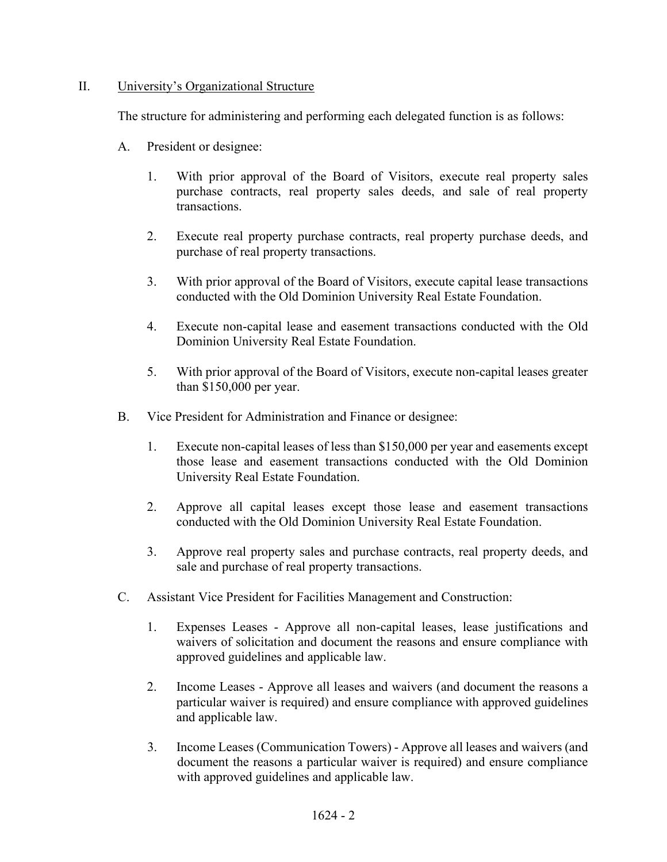## II. University's Organizational Structure

The structure for administering and performing each delegated function is as follows:

- A. President or designee:
	- 1. With prior approval of the Board of Visitors, execute real property sales purchase contracts, real property sales deeds, and sale of real property transactions.
	- 2. Execute real property purchase contracts, real property purchase deeds, and purchase of real property transactions.
	- 3. With prior approval of the Board of Visitors, execute capital lease transactions conducted with the Old Dominion University Real Estate Foundation.
	- 4. Execute non-capital lease and easement transactions conducted with the Old Dominion University Real Estate Foundation.
	- 5. With prior approval of the Board of Visitors, execute non-capital leases greater than \$150,000 per year.
- B. Vice President for Administration and Finance or designee:
	- 1. Execute non-capital leases of less than \$150,000 per year and easements except those lease and easement transactions conducted with the Old Dominion University Real Estate Foundation.
	- 2. Approve all capital leases except those lease and easement transactions conducted with the Old Dominion University Real Estate Foundation.
	- 3. Approve real property sales and purchase contracts, real property deeds, and sale and purchase of real property transactions.
- C. Assistant Vice President for Facilities Management and Construction:
	- 1. Expenses Leases Approve all non-capital leases, lease justifications and waivers of solicitation and document the reasons and ensure compliance with approved guidelines and applicable law.
	- 2. Income Leases Approve all leases and waivers (and document the reasons a particular waiver is required) and ensure compliance with approved guidelines and applicable law.
	- 3. Income Leases (Communication Towers) Approve all leases and waivers (and document the reasons a particular waiver is required) and ensure compliance with approved guidelines and applicable law.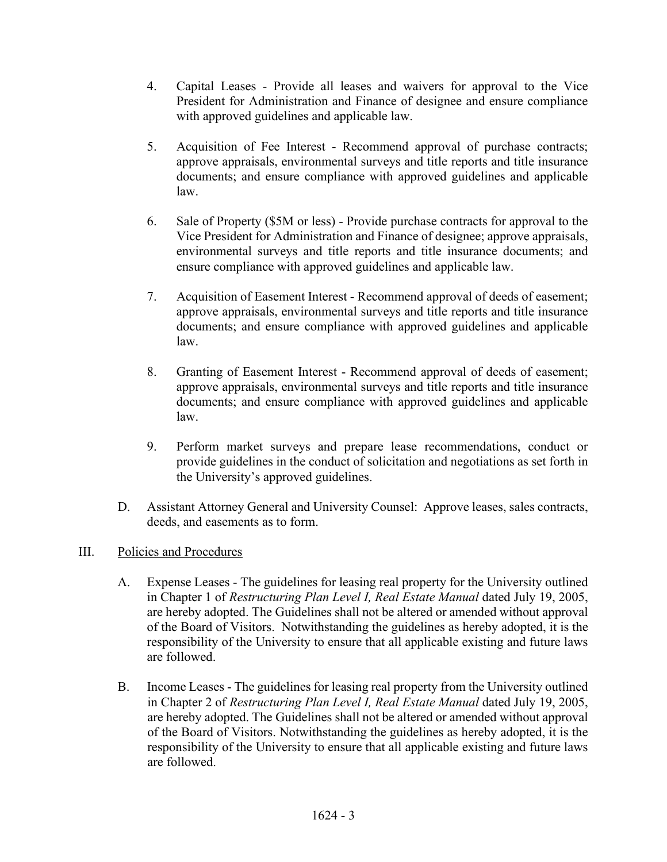- 4. Capital Leases Provide all leases and waivers for approval to the Vice President for Administration and Finance of designee and ensure compliance with approved guidelines and applicable law.
- 5. Acquisition of Fee Interest Recommend approval of purchase contracts; approve appraisals, environmental surveys and title reports and title insurance documents; and ensure compliance with approved guidelines and applicable law.
- 6. Sale of Property (\$5M or less) Provide purchase contracts for approval to the Vice President for Administration and Finance of designee; approve appraisals, environmental surveys and title reports and title insurance documents; and ensure compliance with approved guidelines and applicable law.
- 7. Acquisition of Easement Interest Recommend approval of deeds of easement; approve appraisals, environmental surveys and title reports and title insurance documents; and ensure compliance with approved guidelines and applicable law.
- 8. Granting of Easement Interest Recommend approval of deeds of easement; approve appraisals, environmental surveys and title reports and title insurance documents; and ensure compliance with approved guidelines and applicable law.
- 9. Perform market surveys and prepare lease recommendations, conduct or provide guidelines in the conduct of solicitation and negotiations as set forth in the University's approved guidelines.
- D. Assistant Attorney General and University Counsel: Approve leases, sales contracts, deeds, and easements as to form.

## III. Policies and Procedures

- A. Expense Leases The guidelines for leasing real property for the University outlined in Chapter 1 of *Restructuring Plan Level I, Real Estate Manual* dated July 19, 2005, are hereby adopted. The Guidelines shall not be altered or amended without approval of the Board of Visitors. Notwithstanding the guidelines as hereby adopted, it is the responsibility of the University to ensure that all applicable existing and future laws are followed.
- B. Income Leases The guidelines for leasing real property from the University outlined in Chapter 2 of *Restructuring Plan Level I, Real Estate Manual* dated July 19, 2005, are hereby adopted. The Guidelines shall not be altered or amended without approval of the Board of Visitors. Notwithstanding the guidelines as hereby adopted, it is the responsibility of the University to ensure that all applicable existing and future laws are followed.